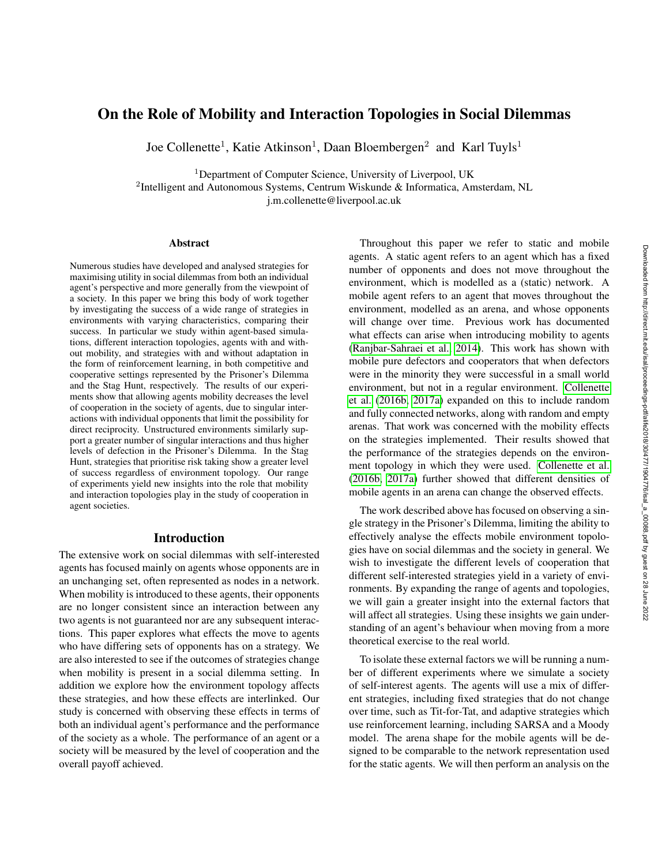# On the Role of Mobility and Interaction Topologies in Social Dilemmas

Joe Collenette<sup>1</sup>, Katie Atkinson<sup>1</sup>, Daan Bloembergen<sup>2</sup> and Karl Tuyls<sup>1</sup>

<sup>1</sup>Department of Computer Science, University of Liverpool, UK

<sup>2</sup>Intelligent and Autonomous Systems, Centrum Wiskunde & Informatica, Amsterdam, NL

j.m.collenette@liverpool.ac.uk

#### **Abstract**

Numerous studies have developed and analysed strategies for maximising utility in social dilemmas from both an individual agent's perspective and more generally from the viewpoint of a society. In this paper we bring this body of work together by investigating the success of a wide range of strategies in environments with varying characteristics, comparing their success. In particular we study within agent-based simulations, different interaction topologies, agents with and without mobility, and strategies with and without adaptation in the form of reinforcement learning, in both competitive and cooperative settings represented by the Prisoner's Dilemma and the Stag Hunt, respectively. The results of our experiments show that allowing agents mobility decreases the level of cooperation in the society of agents, due to singular interactions with individual opponents that limit the possibility for direct reciprocity. Unstructured environments similarly support a greater number of singular interactions and thus higher levels of defection in the Prisoner's Dilemma. In the Stag Hunt, strategies that prioritise risk taking show a greater level of success regardless of environment topology. Our range of experiments yield new insights into the role that mobility and interaction topologies play in the study of cooperation in agent societies.

## Introduction

The extensive work on social dilemmas with self-interested agents has focused mainly on agents whose opponents are in an unchanging set, often represented as nodes in a network. When mobility is introduced to these agents, their opponents are no longer consistent since an interaction between any two agents is not guaranteed nor are any subsequent interactions. This paper explores what effects the move to agents who have differing sets of opponents has on a strategy. We are also interested to see if the outcomes of strategies change when mobility is present in a social dilemma setting. In addition we explore how the environment topology affects these strategies, and how these effects are interlinked. Our study is concerned with observing these effects in terms of both an individual agent's performance and the performance of the society as a whole. The performance of an agent or a society will be measured by the level of cooperation and the overall payoff achieved.

Throughout this paper we refer to static and mobile agents. A static agent refers to an agent which has a fixed number of opponents and does not move throughout the environment, which is modelled as a (static) network. A mobile agent refers to an agent that moves throughout the environment, modelled as an arena, and whose opponents will change over time. Previous work has documented what effects can arise when introducing mobility to agents [\(Ranjbar-Sahraei et al., 2014\)](#page-7-0). This work has shown with mobile pure defectors and cooperators that when defectors were in the minority they were successful in a small world environment, but not in a regular environment. [Collenette](#page-6-0) [et al.](#page-6-0) [\(2016b,](#page-6-0) [2017a\)](#page-6-1) expanded on this to include random and fully connected networks, along with random and empty arenas. That work was concerned with the mobility effects on the strategies implemented. Their results showed that the performance of the strategies depends on the environment topology in which they were used. [Collenette et al.](#page-6-0) [\(2016b,](#page-6-0) [2017a\)](#page-6-1) further showed that different densities of mobile agents in an arena can change the observed effects.

The work described above has focused on observing a single strategy in the Prisoner's Dilemma, limiting the ability to effectively analyse the effects mobile environment topologies have on social dilemmas and the society in general. We wish to investigate the different levels of cooperation that different self-interested strategies yield in a variety of environments. By expanding the range of agents and topologies, we will gain a greater insight into the external factors that will affect all strategies. Using these insights we gain understanding of an agent's behaviour when moving from a more theoretical exercise to the real world.

To isolate these external factors we will be running a number of different experiments where we simulate a society of self-interest agents. The agents will use a mix of different strategies, including fixed strategies that do not change over time, such as Tit-for-Tat, and adaptive strategies which use reinforcement learning, including SARSA and a Moody model. The arena shape for the mobile agents will be designed to be comparable to the network representation used for the static agents. We will then perform an analysis on the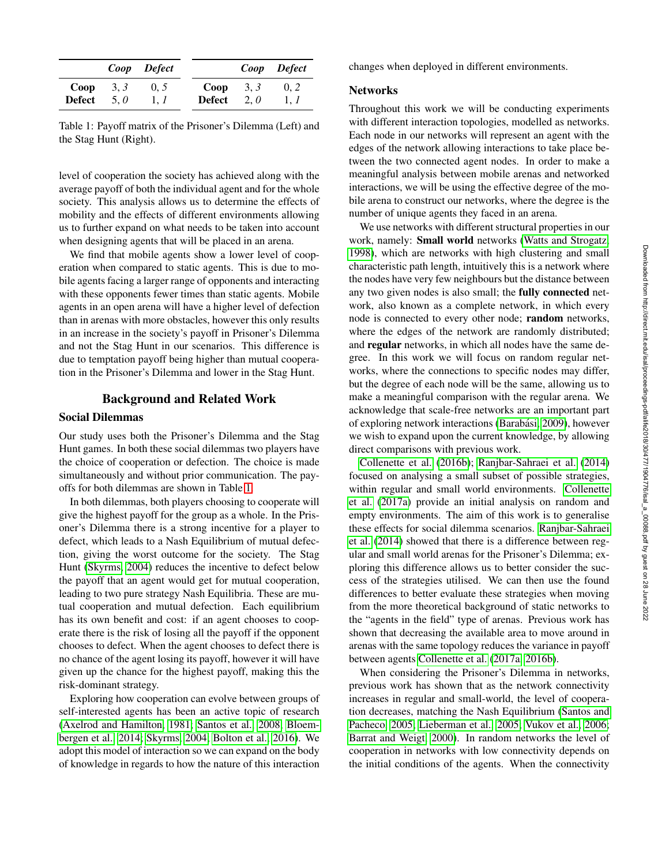Downloaded from http://direct.mit.edu/isal/proceedings-pdf/alife2018/30/477/1904776/isal\_a\_00088.pdf by guest on 28 June 2022 Downloaded from http://direct.mit.edu/isal/proceedings-pdf/alife2018/30/477/1904776/isal\_a\_00088.pdf by guest on 28 June 2022

|               |      | Coop Defect |            |     | Coop Defect |
|---------------|------|-------------|------------|-----|-------------|
| Coop          | 3, 3 | 0, 5        | $Coop$ 3.3 |     | 0.2         |
| <b>Defect</b> | 5.0  | 1. 1        | Defect     | 2.0 | 1. 1        |

<span id="page-1-0"></span>Table 1: Payoff matrix of the Prisoner's Dilemma (Left) and the Stag Hunt (Right).

level of cooperation the society has achieved along with the average payoff of both the individual agent and for the whole society. This analysis allows us to determine the effects of mobility and the effects of different environments allowing us to further expand on what needs to be taken into account when designing agents that will be placed in an arena.

We find that mobile agents show a lower level of cooperation when compared to static agents. This is due to mobile agents facing a larger range of opponents and interacting with these opponents fewer times than static agents. Mobile agents in an open arena will have a higher level of defection than in arenas with more obstacles, however this only results in an increase in the society's payoff in Prisoner's Dilemma and not the Stag Hunt in our scenarios. This difference is due to temptation payoff being higher than mutual cooperation in the Prisoner's Dilemma and lower in the Stag Hunt.

### Background and Related Work

### Social Dilemmas

Our study uses both the Prisoner's Dilemma and the Stag Hunt games. In both these social dilemmas two players have the choice of cooperation or defection. The choice is made simultaneously and without prior communication. The payoffs for both dilemmas are shown in Table [1.](#page-1-0)

In both dilemmas, both players choosing to cooperate will give the highest payoff for the group as a whole. In the Prisoner's Dilemma there is a strong incentive for a player to defect, which leads to a Nash Equilibrium of mutual defection, giving the worst outcome for the society. The Stag Hunt [\(Skyrms, 2004\)](#page-7-1) reduces the incentive to defect below the payoff that an agent would get for mutual cooperation, leading to two pure strategy Nash Equilibria. These are mutual cooperation and mutual defection. Each equilibrium has its own benefit and cost: if an agent chooses to cooperate there is the risk of losing all the payoff if the opponent chooses to defect. When the agent chooses to defect there is no chance of the agent losing its payoff, however it will have given up the chance for the highest payoff, making this the risk-dominant strategy.

Exploring how cooperation can evolve between groups of self-interested agents has been an active topic of research [\(Axelrod and Hamilton, 1981;](#page-6-2) [Santos et al., 2008;](#page-7-2) [Bloem](#page-6-3)[bergen et al., 2014;](#page-6-3) [Skyrms, 2004;](#page-7-1) [Bolton et al., 2016\)](#page-6-4). We adopt this model of interaction so we can expand on the body of knowledge in regards to how the nature of this interaction

changes when deployed in different environments.

### **Networks**

Throughout this work we will be conducting experiments with different interaction topologies, modelled as networks. Each node in our networks will represent an agent with the edges of the network allowing interactions to take place between the two connected agent nodes. In order to make a meaningful analysis between mobile arenas and networked interactions, we will be using the effective degree of the mobile arena to construct our networks, where the degree is the number of unique agents they faced in an arena.

We use networks with different structural properties in our work, namely: Small world networks [\(Watts and Strogatz,](#page-7-3) [1998\)](#page-7-3), which are networks with high clustering and small characteristic path length, intuitively this is a network where the nodes have very few neighbours but the distance between any two given nodes is also small; the fully connected network, also known as a complete network, in which every node is connected to every other node; random networks, where the edges of the network are randomly distributed; and regular networks, in which all nodes have the same degree. In this work we will focus on random regular networks, where the connections to specific nodes may differ, but the degree of each node will be the same, allowing us to make a meaningful comparison with the regular arena. We acknowledge that scale-free networks are an important part of exploring network interactions (Barabási, 2009), however we wish to expand upon the current knowledge, by allowing direct comparisons with previous work.

[Collenette et al.](#page-6-0) [\(2016b\)](#page-6-0); [Ranjbar-Sahraei et al.](#page-7-0) [\(2014\)](#page-7-0) focused on analysing a small subset of possible strategies, within regular and small world environments. [Collenette](#page-6-1) [et al.](#page-6-1) [\(2017a\)](#page-6-1) provide an initial analysis on random and empty environments. The aim of this work is to generalise these effects for social dilemma scenarios. [Ranjbar-Sahraei](#page-7-0) [et al.](#page-7-0) [\(2014\)](#page-7-0) showed that there is a difference between regular and small world arenas for the Prisoner's Dilemma; exploring this difference allows us to better consider the success of the strategies utilised. We can then use the found differences to better evaluate these strategies when moving from the more theoretical background of static networks to the "agents in the field" type of arenas. Previous work has shown that decreasing the available area to move around in arenas with the same topology reduces the variance in payoff between agents [Collenette et al.](#page-6-1) [\(2017a,](#page-6-1) [2016b\)](#page-6-0).

When considering the Prisoner's Dilemma in networks, previous work has shown that as the network connectivity increases in regular and small-world, the level of cooperation decreases, matching the Nash Equilibrium [\(Santos and](#page-7-4) [Pacheco, 2005;](#page-7-4) [Lieberman et al., 2005;](#page-7-5) [Vukov et al., 2006;](#page-7-6) [Barrat and Weigt, 2000\)](#page-6-6). In random networks the level of cooperation in networks with low connectivity depends on the initial conditions of the agents. When the connectivity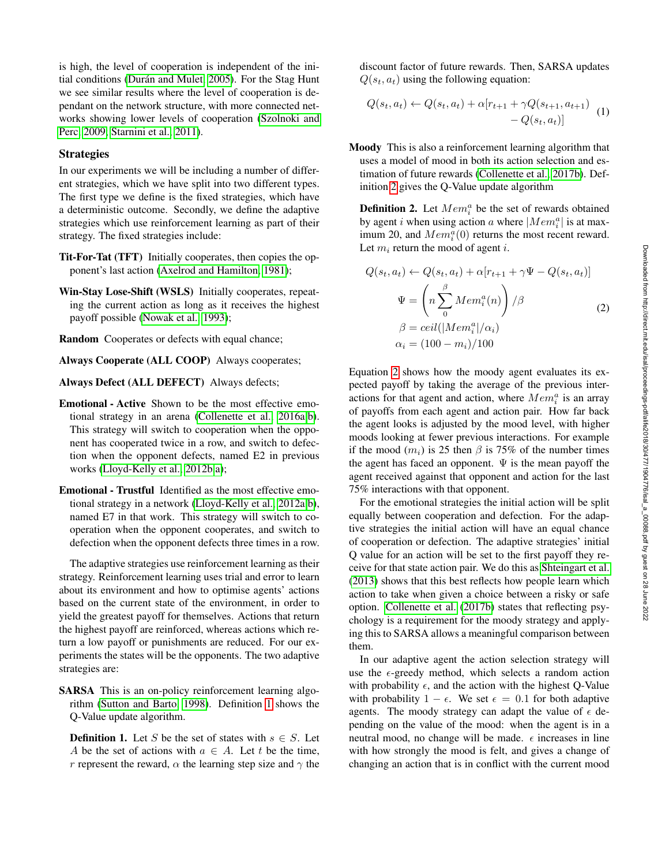is high, the level of cooperation is independent of the initial conditions (Durán and Mulet, 2005). For the Stag Hunt we see similar results where the level of cooperation is dependant on the network structure, with more connected networks showing lower levels of cooperation [\(Szolnoki and](#page-7-7) [Perc, 2009;](#page-7-7) [Starnini et al., 2011\)](#page-7-8).

#### **Strategies**

In our experiments we will be including a number of different strategies, which we have split into two different types. The first type we define is the fixed strategies, which have a deterministic outcome. Secondly, we define the adaptive strategies which use reinforcement learning as part of their strategy. The fixed strategies include:

- Tit-For-Tat (TFT) Initially cooperates, then copies the opponent's last action [\(Axelrod and Hamilton, 1981\)](#page-6-2);
- Win-Stay Lose-Shift (WSLS) Initially cooperates, repeating the current action as long as it receives the highest payoff possible [\(Nowak et al., 1993\)](#page-7-9);
- Random Cooperates or defects with equal chance;
- Always Cooperate (ALL COOP) Always cooperates;
- Always Defect (ALL DEFECT) Always defects;
- Emotional Active Shown to be the most effective emotional strategy in an arena [\(Collenette et al., 2016a,](#page-6-8)[b\)](#page-6-0). This strategy will switch to cooperation when the opponent has cooperated twice in a row, and switch to defection when the opponent defects, named E2 in previous works [\(Lloyd-Kelly et al., 2012b,](#page-7-10)[a\)](#page-7-11);
- Emotional Trustful Identified as the most effective emotional strategy in a network [\(Lloyd-Kelly et al., 2012a,](#page-7-11)[b\)](#page-7-10), named E7 in that work. This strategy will switch to cooperation when the opponent cooperates, and switch to defection when the opponent defects three times in a row.

The adaptive strategies use reinforcement learning as their strategy. Reinforcement learning uses trial and error to learn about its environment and how to optimise agents' actions based on the current state of the environment, in order to yield the greatest payoff for themselves. Actions that return the highest payoff are reinforced, whereas actions which return a low payoff or punishments are reduced. For our experiments the states will be the opponents. The two adaptive strategies are:

SARSA This is an on-policy reinforcement learning algorithm [\(Sutton and Barto, 1998\)](#page-7-12). Definition [1](#page-2-0) shows the Q-Value update algorithm.

<span id="page-2-0"></span>**Definition 1.** Let S be the set of states with  $s \in S$ . Let A be the set of actions with  $a \in A$ . Let t be the time, r represent the reward,  $\alpha$  the learning step size and  $\gamma$  the discount factor of future rewards. Then, SARSA updates  $Q(s_t, a_t)$  using the following equation:

$$
Q(s_t, a_t) \leftarrow Q(s_t, a_t) + \alpha [r_{t+1} + \gamma Q(s_{t+1}, a_{t+1}) - Q(s_t, a_t)] \tag{1}
$$

Moody This is also a reinforcement learning algorithm that uses a model of mood in both its action selection and estimation of future rewards [\(Collenette et al., 2017b\)](#page-6-9). Definition [2](#page-2-1) gives the Q-Value update algorithm

<span id="page-2-1"></span>**Definition 2.** Let  $Mem_i^a$  be the set of rewards obtained by agent *i* when using action *a* where  $|Mem_i^a|$  is at maximum 20, and  $Mem_i^a(0)$  returns the most recent reward. Let  $m_i$  return the mood of agent i.

<span id="page-2-2"></span>
$$
Q(s_t, a_t) \leftarrow Q(s_t, a_t) + \alpha[r_{t+1} + \gamma \Psi - Q(s_t, a_t)]
$$

$$
\Psi = \left(n \sum_{0}^{\beta} M e m_i^a(n)\right) / \beta
$$

$$
\beta = c e i l (|M e m_i^a| / \alpha_i)
$$

$$
\alpha_i = (100 - m_i) / 100
$$

Equation [2](#page-2-2) shows how the moody agent evaluates its expected payoff by taking the average of the previous interactions for that agent and action, where  $Mem_i^a$  is an array of payoffs from each agent and action pair. How far back the agent looks is adjusted by the mood level, with higher moods looking at fewer previous interactions. For example if the mood  $(m_i)$  is 25 then  $\beta$  is 75% of the number times the agent has faced an opponent.  $\Psi$  is the mean payoff the agent received against that opponent and action for the last 75% interactions with that opponent.

For the emotional strategies the initial action will be split equally between cooperation and defection. For the adaptive strategies the initial action will have an equal chance of cooperation or defection. The adaptive strategies' initial Q value for an action will be set to the first payoff they receive for that state action pair. We do this as [Shteingart et al.](#page-7-13) [\(2013\)](#page-7-13) shows that this best reflects how people learn which action to take when given a choice between a risky or safe option. [Collenette et al.](#page-6-9) [\(2017b\)](#page-6-9) states that reflecting psychology is a requirement for the moody strategy and applying this to SARSA allows a meaningful comparison between them.

In our adaptive agent the action selection strategy will use the  $\epsilon$ -greedy method, which selects a random action with probability  $\epsilon$ , and the action with the highest Q-Value with probability  $1 - \epsilon$ . We set  $\epsilon = 0.1$  for both adaptive agents. The moody strategy can adapt the value of  $\epsilon$  depending on the value of the mood: when the agent is in a neutral mood, no change will be made.  $\epsilon$  increases in line with how strongly the mood is felt, and gives a change of changing an action that is in conflict with the current mood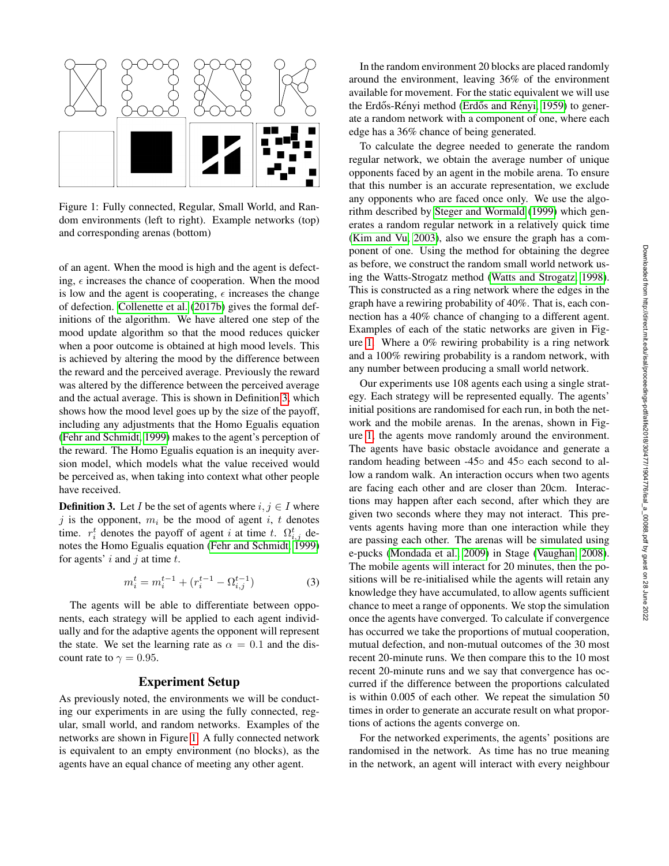

<span id="page-3-1"></span>Figure 1: Fully connected, Regular, Small World, and Random environments (left to right). Example networks (top) and corresponding arenas (bottom)

of an agent. When the mood is high and the agent is defecting,  $\epsilon$  increases the chance of cooperation. When the mood is low and the agent is cooperating,  $\epsilon$  increases the change of defection. [Collenette et al.](#page-6-9) [\(2017b\)](#page-6-9) gives the formal definitions of the algorithm. We have altered one step of the mood update algorithm so that the mood reduces quicker when a poor outcome is obtained at high mood levels. This is achieved by altering the mood by the difference between the reward and the perceived average. Previously the reward was altered by the difference between the perceived average and the actual average. This is shown in Definition [3,](#page-3-0) which shows how the mood level goes up by the size of the payoff, including any adjustments that the Homo Egualis equation [\(Fehr and Schmidt, 1999\)](#page-6-10) makes to the agent's perception of the reward. The Homo Egualis equation is an inequity aversion model, which models what the value received would be perceived as, when taking into context what other people have received.

<span id="page-3-0"></span>**Definition 3.** Let I be the set of agents where  $i, j \in I$  where j is the opponent,  $m_i$  be the mood of agent i, t denotes time.  $r_i^t$  denotes the payoff of agent i at time t.  $\Omega_{i,j}^t$  denotes the Homo Egualis equation [\(Fehr and Schmidt, 1999\)](#page-6-10) for agents'  $i$  and  $j$  at time  $t$ .

$$
m_i^t = m_i^{t-1} + (r_i^{t-1} - \Omega_{i,j}^{t-1})
$$
\n(3)

The agents will be able to differentiate between opponents, each strategy will be applied to each agent individually and for the adaptive agents the opponent will represent the state. We set the learning rate as  $\alpha = 0.1$  and the discount rate to  $\gamma = 0.95$ .

### Experiment Setup

As previously noted, the environments we will be conducting our experiments in are using the fully connected, regular, small world, and random networks. Examples of the networks are shown in Figure [1.](#page-3-1) A fully connected network is equivalent to an empty environment (no blocks), as the agents have an equal chance of meeting any other agent.

In the random environment 20 blocks are placed randomly around the environment, leaving 36% of the environment available for movement. For the static equivalent we will use the Erdős-Rényi method (Erdős and Rényi, [1959\)](#page-6-11) to generate a random network with a component of one, where each edge has a 36% chance of being generated.

To calculate the degree needed to generate the random regular network, we obtain the average number of unique opponents faced by an agent in the mobile arena. To ensure that this number is an accurate representation, we exclude any opponents who are faced once only. We use the algorithm described by [Steger and Wormald](#page-7-14) [\(1999\)](#page-7-14) which generates a random regular network in a relatively quick time [\(Kim and Vu, 2003\)](#page-6-12), also we ensure the graph has a component of one. Using the method for obtaining the degree as before, we construct the random small world network using the Watts-Strogatz method [\(Watts and Strogatz, 1998\)](#page-7-3). This is constructed as a ring network where the edges in the graph have a rewiring probability of 40%. That is, each connection has a 40% chance of changing to a different agent. Examples of each of the static networks are given in Figure [1.](#page-3-1) Where a 0% rewiring probability is a ring network and a 100% rewiring probability is a random network, with any number between producing a small world network.

Our experiments use 108 agents each using a single strategy. Each strategy will be represented equally. The agents' initial positions are randomised for each run, in both the network and the mobile arenas. In the arenas, shown in Figure [1,](#page-3-1) the agents move randomly around the environment. The agents have basic obstacle avoidance and generate a random heading between -45◦ and 45◦ each second to allow a random walk. An interaction occurs when two agents are facing each other and are closer than 20cm. Interactions may happen after each second, after which they are given two seconds where they may not interact. This prevents agents having more than one interaction while they are passing each other. The arenas will be simulated using e-pucks [\(Mondada et al., 2009\)](#page-7-15) in Stage [\(Vaughan, 2008\)](#page-7-16). The mobile agents will interact for 20 minutes, then the positions will be re-initialised while the agents will retain any knowledge they have accumulated, to allow agents sufficient chance to meet a range of opponents. We stop the simulation once the agents have converged. To calculate if convergence has occurred we take the proportions of mutual cooperation, mutual defection, and non-mutual outcomes of the 30 most recent 20-minute runs. We then compare this to the 10 most recent 20-minute runs and we say that convergence has occurred if the difference between the proportions calculated is within 0.005 of each other. We repeat the simulation 50 times in order to generate an accurate result on what proportions of actions the agents converge on.

For the networked experiments, the agents' positions are randomised in the network. As time has no true meaning in the network, an agent will interact with every neighbour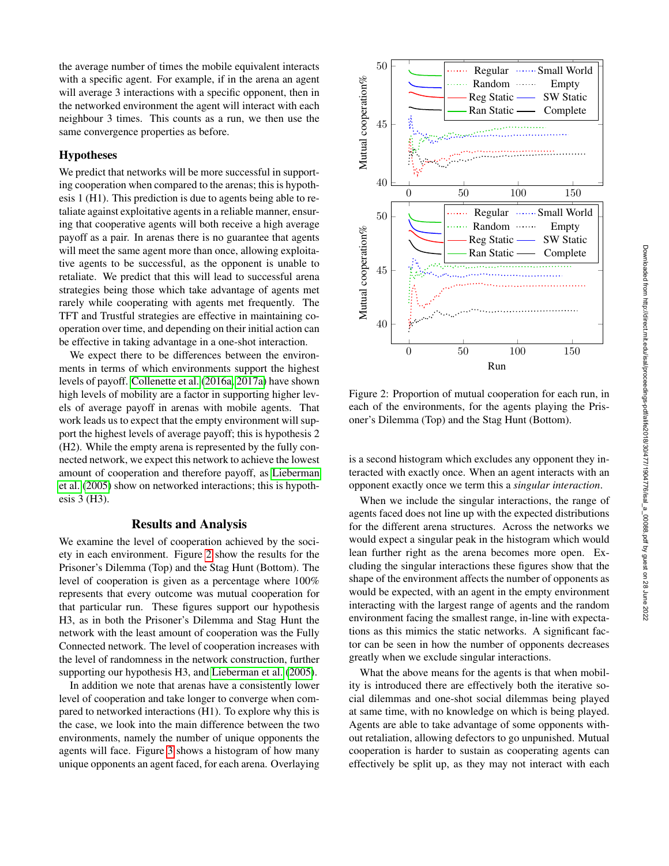the average number of times the mobile equivalent interacts with a specific agent. For example, if in the arena an agent will average 3 interactions with a specific opponent, then in the networked environment the agent will interact with each neighbour 3 times. This counts as a run, we then use the same convergence properties as before.

#### Hypotheses

We predict that networks will be more successful in supporting cooperation when compared to the arenas; this is hypothesis 1 (H1). This prediction is due to agents being able to retaliate against exploitative agents in a reliable manner, ensuring that cooperative agents will both receive a high average payoff as a pair. In arenas there is no guarantee that agents will meet the same agent more than once, allowing exploitative agents to be successful, as the opponent is unable to retaliate. We predict that this will lead to successful arena strategies being those which take advantage of agents met rarely while cooperating with agents met frequently. The TFT and Trustful strategies are effective in maintaining cooperation over time, and depending on their initial action can be effective in taking advantage in a one-shot interaction.

We expect there to be differences between the environments in terms of which environments support the highest levels of payoff. [Collenette et al.](#page-6-8) [\(2016a,](#page-6-8) [2017a\)](#page-6-1) have shown high levels of mobility are a factor in supporting higher levels of average payoff in arenas with mobile agents. That work leads us to expect that the empty environment will support the highest levels of average payoff; this is hypothesis 2 (H2). While the empty arena is represented by the fully connected network, we expect this network to achieve the lowest amount of cooperation and therefore payoff, as [Lieberman](#page-7-5) [et al.](#page-7-5) [\(2005\)](#page-7-5) show on networked interactions; this is hypothesis 3 (H3).

# Results and Analysis

We examine the level of cooperation achieved by the society in each environment. Figure [2](#page-4-0) show the results for the Prisoner's Dilemma (Top) and the Stag Hunt (Bottom). The level of cooperation is given as a percentage where 100% represents that every outcome was mutual cooperation for that particular run. These figures support our hypothesis H3, as in both the Prisoner's Dilemma and Stag Hunt the network with the least amount of cooperation was the Fully Connected network. The level of cooperation increases with the level of randomness in the network construction, further supporting our hypothesis H3, and [Lieberman et al.](#page-7-5) [\(2005\)](#page-7-5).

In addition we note that arenas have a consistently lower level of cooperation and take longer to converge when compared to networked interactions (H1). To explore why this is the case, we look into the main difference between the two environments, namely the number of unique opponents the agents will face. Figure [3](#page-5-0) shows a histogram of how many unique opponents an agent faced, for each arena. Overlaying



<span id="page-4-0"></span>Figure 2: Proportion of mutual cooperation for each run, in each of the environments, for the agents playing the Prisoner's Dilemma (Top) and the Stag Hunt (Bottom).

is a second histogram which excludes any opponent they interacted with exactly once. When an agent interacts with an opponent exactly once we term this a *singular interaction*.

When we include the singular interactions, the range of agents faced does not line up with the expected distributions for the different arena structures. Across the networks we would expect a singular peak in the histogram which would lean further right as the arena becomes more open. Excluding the singular interactions these figures show that the shape of the environment affects the number of opponents as would be expected, with an agent in the empty environment interacting with the largest range of agents and the random environment facing the smallest range, in-line with expectations as this mimics the static networks. A significant factor can be seen in how the number of opponents decreases greatly when we exclude singular interactions.

What the above means for the agents is that when mobility is introduced there are effectively both the iterative social dilemmas and one-shot social dilemmas being played at same time, with no knowledge on which is being played. Agents are able to take advantage of some opponents without retaliation, allowing defectors to go unpunished. Mutual cooperation is harder to sustain as cooperating agents can effectively be split up, as they may not interact with each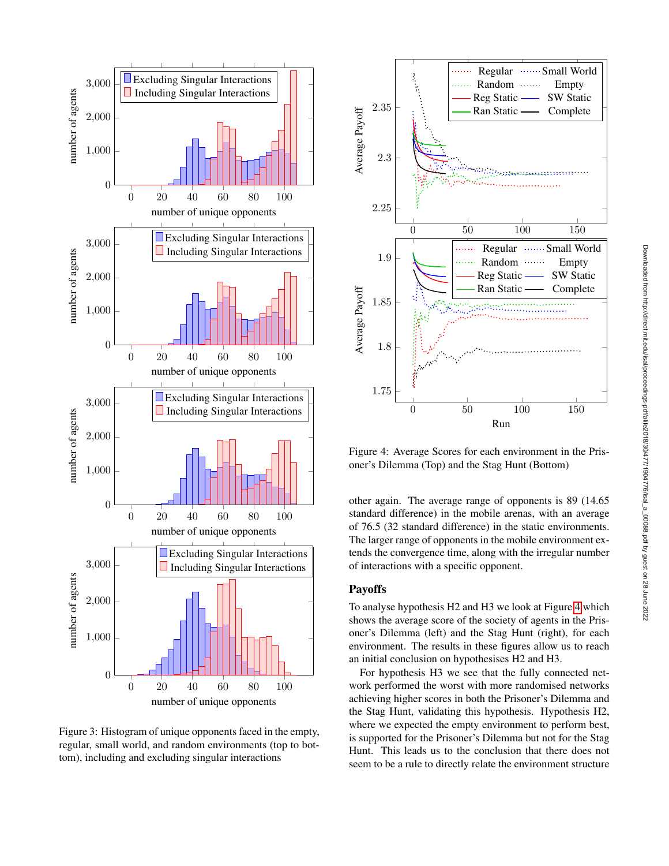

<span id="page-5-0"></span>Figure 3: Histogram of unique opponents faced in the empty, regular, small world, and random environments (top to bottom), including and excluding singular interactions



<span id="page-5-1"></span>Figure 4: Average Scores for each environment in the Prisoner's Dilemma (Top) and the Stag Hunt (Bottom)

other again. The average range of opponents is 89 (14.65 standard difference) in the mobile arenas, with an average of 76.5 (32 standard difference) in the static environments. The larger range of opponents in the mobile environment extends the convergence time, along with the irregular number of interactions with a specific opponent.

### Payoffs

To analyse hypothesis H2 and H3 we look at Figure [4](#page-5-1) which shows the average score of the society of agents in the Prisoner's Dilemma (left) and the Stag Hunt (right), for each environment. The results in these figures allow us to reach an initial conclusion on hypothesises H2 and H3.

For hypothesis H3 we see that the fully connected network performed the worst with more randomised networks achieving higher scores in both the Prisoner's Dilemma and the Stag Hunt, validating this hypothesis. Hypothesis H2, where we expected the empty environment to perform best, is supported for the Prisoner's Dilemma but not for the Stag Hunt. This leads us to the conclusion that there does not seem to be a rule to directly relate the environment structure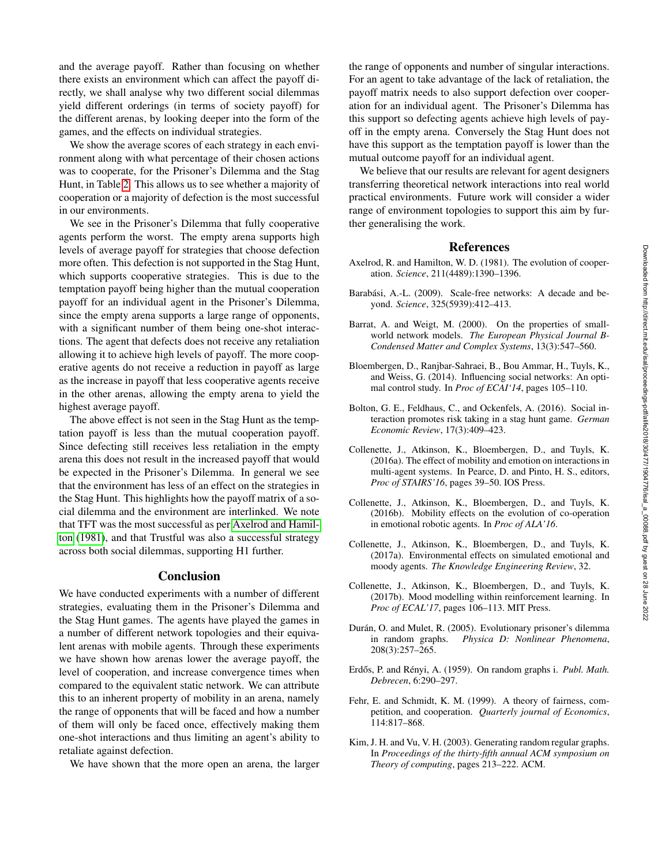and the average payoff. Rather than focusing on whether there exists an environment which can affect the payoff directly, we shall analyse why two different social dilemmas yield different orderings (in terms of society payoff) for the different arenas, by looking deeper into the form of the games, and the effects on individual strategies.

We show the average scores of each strategy in each environment along with what percentage of their chosen actions was to cooperate, for the Prisoner's Dilemma and the Stag Hunt, in Table [2.](#page-7-17) This allows us to see whether a majority of cooperation or a majority of defection is the most successful in our environments.

We see in the Prisoner's Dilemma that fully cooperative agents perform the worst. The empty arena supports high levels of average payoff for strategies that choose defection more often. This defection is not supported in the Stag Hunt, which supports cooperative strategies. This is due to the temptation payoff being higher than the mutual cooperation payoff for an individual agent in the Prisoner's Dilemma, since the empty arena supports a large range of opponents, with a significant number of them being one-shot interactions. The agent that defects does not receive any retaliation allowing it to achieve high levels of payoff. The more cooperative agents do not receive a reduction in payoff as large as the increase in payoff that less cooperative agents receive in the other arenas, allowing the empty arena to yield the highest average payoff.

The above effect is not seen in the Stag Hunt as the temptation payoff is less than the mutual cooperation payoff. Since defecting still receives less retaliation in the empty arena this does not result in the increased payoff that would be expected in the Prisoner's Dilemma. In general we see that the environment has less of an effect on the strategies in the Stag Hunt. This highlights how the payoff matrix of a social dilemma and the environment are interlinked. We note that TFT was the most successful as per [Axelrod and Hamil](#page-6-2)[ton](#page-6-2) [\(1981\)](#page-6-2), and that Trustful was also a successful strategy across both social dilemmas, supporting H1 further.

## **Conclusion**

We have conducted experiments with a number of different strategies, evaluating them in the Prisoner's Dilemma and the Stag Hunt games. The agents have played the games in a number of different network topologies and their equivalent arenas with mobile agents. Through these experiments we have shown how arenas lower the average payoff, the level of cooperation, and increase convergence times when compared to the equivalent static network. We can attribute this to an inherent property of mobility in an arena, namely the range of opponents that will be faced and how a number of them will only be faced once, effectively making them one-shot interactions and thus limiting an agent's ability to retaliate against defection.

We have shown that the more open an arena, the larger

the range of opponents and number of singular interactions. For an agent to take advantage of the lack of retaliation, the payoff matrix needs to also support defection over cooperation for an individual agent. The Prisoner's Dilemma has this support so defecting agents achieve high levels of payoff in the empty arena. Conversely the Stag Hunt does not have this support as the temptation payoff is lower than the mutual outcome payoff for an individual agent.

We believe that our results are relevant for agent designers transferring theoretical network interactions into real world practical environments. Future work will consider a wider range of environment topologies to support this aim by further generalising the work.

#### References

- <span id="page-6-2"></span>Axelrod, R. and Hamilton, W. D. (1981). The evolution of cooperation. *Science*, 211(4489):1390–1396.
- <span id="page-6-5"></span>Barabási, A.-L. (2009). Scale-free networks: A decade and beyond. *Science*, 325(5939):412–413.
- <span id="page-6-6"></span>Barrat, A. and Weigt, M. (2000). On the properties of smallworld network models. *The European Physical Journal B-Condensed Matter and Complex Systems*, 13(3):547–560.
- <span id="page-6-3"></span>Bloembergen, D., Ranjbar-Sahraei, B., Bou Ammar, H., Tuyls, K., and Weiss, G. (2014). Influencing social networks: An optimal control study. In *Proc of ECAI'14*, pages 105–110.
- <span id="page-6-4"></span>Bolton, G. E., Feldhaus, C., and Ockenfels, A. (2016). Social interaction promotes risk taking in a stag hunt game. *German Economic Review*, 17(3):409–423.
- <span id="page-6-8"></span>Collenette, J., Atkinson, K., Bloembergen, D., and Tuyls, K. (2016a). The effect of mobility and emotion on interactions in multi-agent systems. In Pearce, D. and Pinto, H. S., editors, *Proc of STAIRS'16*, pages 39–50. IOS Press.
- <span id="page-6-0"></span>Collenette, J., Atkinson, K., Bloembergen, D., and Tuyls, K. (2016b). Mobility effects on the evolution of co-operation in emotional robotic agents. In *Proc of ALA'16*.
- <span id="page-6-1"></span>Collenette, J., Atkinson, K., Bloembergen, D., and Tuyls, K. (2017a). Environmental effects on simulated emotional and moody agents. *The Knowledge Engineering Review*, 32.
- <span id="page-6-9"></span>Collenette, J., Atkinson, K., Bloembergen, D., and Tuyls, K. (2017b). Mood modelling within reinforcement learning. In *Proc of ECAL'17*, pages 106–113. MIT Press.
- <span id="page-6-7"></span>Durán, O. and Mulet, R. (2005). Evolutionary prisoner's dilemma in random graphs. *Physica D: Nonlinear Phenomena*, 208(3):257–265.
- <span id="page-6-11"></span>Erdős, P. and Rényi, A. (1959). On random graphs i. Publ. Math. *Debrecen*, 6:290–297.
- <span id="page-6-10"></span>Fehr, E. and Schmidt, K. M. (1999). A theory of fairness, competition, and cooperation. *Quarterly journal of Economics*, 114:817–868.
- <span id="page-6-12"></span>Kim, J. H. and Vu, V. H. (2003). Generating random regular graphs. In *Proceedings of the thirty-fifth annual ACM symposium on Theory of computing*, pages 213–222. ACM.